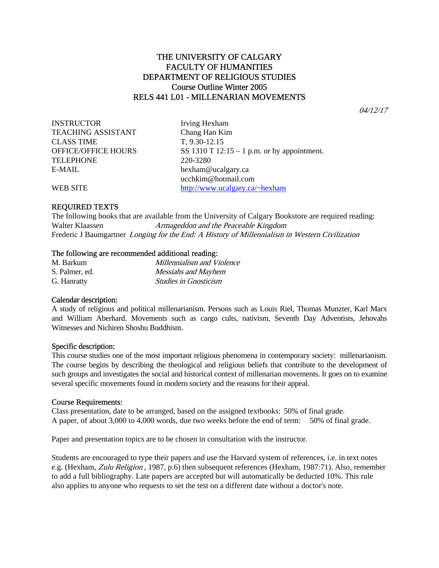# THE UNIVERSITY OF CALGARY FACULTY OF HUMANITIES DEPARTMENT OF RELIGIOUS STUDIES Course Outline Winter 2005 RELS 441 L01 - MILLENARIAN MOVEMENTS

04/12/17

INSTRUCTOR Irving Hexham TEACHING ASSISTANT Chang Han Kim CLASS TIME T, 9.30-12.15 TELEPHONE 220-3280 E-MAIL hexham@ucalgary.ca

OFFICE/OFFICE HOURS SS 1310 T  $12:15 - 1$  p.m. or by appointment. ucchkim@hotmail.com WEB SITE http://www.ucalgary.ca/~hexham

## REQUIRED TEXTS

The following books that are available from the University of Calgary Bookstore are required reading: Walter Klaassen *Armageddon and the Peaceable Kingdom* Frederic J Baumgartner Longing for the End: A History of Millennialism in Western Civilization

## The following are recommended additional reading:

| M. Barkum      | Millennialism and Violence   |
|----------------|------------------------------|
| S. Palmer, ed. | Messiahs and Mayhem          |
| G. Hanratty    | <b>Studies in Gnosticism</b> |

## Calendar description:

A study of religious and political millenarianism. Persons such as Louis Riel, Thomas Munzter, Karl Marx and William Aberhard. Movements such as cargo cults, nativism, Seventh Day Adventists, Jehovahs Witnesses and Nichiren Shoshu Buddhism.

#### Specific description:

This course studies one of the most important religious phenomena in contemporary society: millenarianism. The course begins by describing the theological and religious beliefs that contribute to the development of such groups and investigates the social and historical context of millenarian movements. It goes on to examine several specific movements found in modern society and the reasons for their appeal.

## Course Requirements:

Class presentation, date to be arranged, based on the assigned textbooks: 50% of final grade. A paper, of about 3,000 to 4,000 words, due two weeks before the end of term: 50% of final grade.

Paper and presentation topics are to be chosen in consultation with the instructor.

Students are encouraged to type their papers and use the Harvard system of references, i.e. in text notes e.g. (Hexham, Zulu Religion, 1987, p.6) then subsequent references (Hexham, 1987:71). Also, remember to add a full bibliography. Late papers are accepted but will automatically be deducted 10%. This rule also applies to anyone who requests to set the test on a different date without a doctor's note.